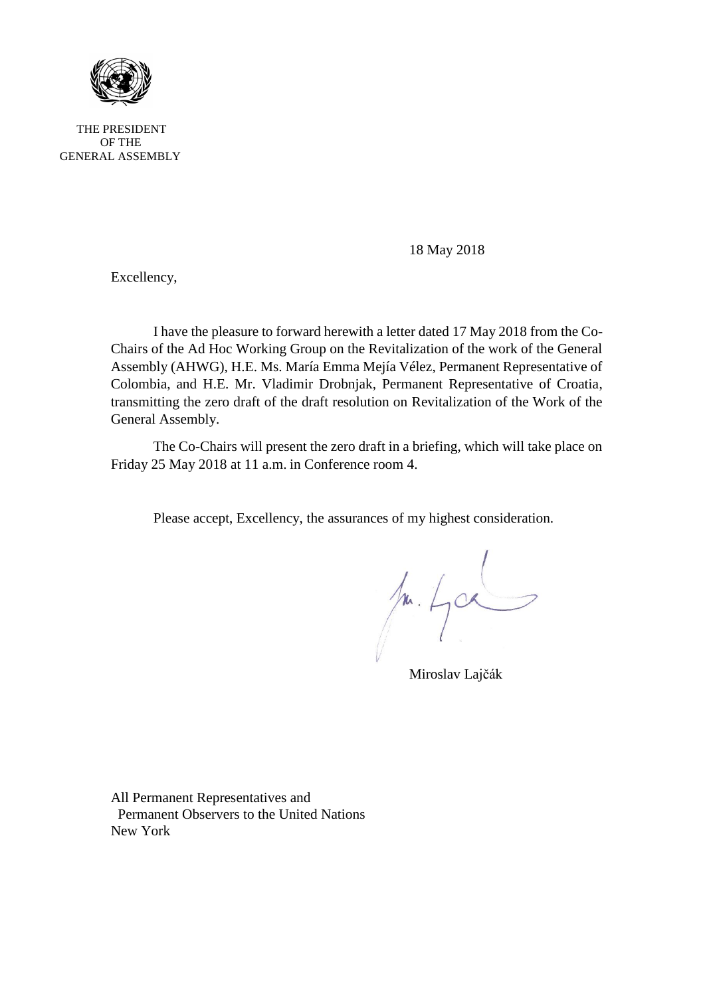

THE PRESIDENT OF THE GENERAL ASSEMBLY

18 May 2018

Excellency,

I have the pleasure to forward herewith a letter dated 17 May 2018 from the Co-Chairs of the Ad Hoc Working Group on the Revitalization of the work of the General Assembly (AHWG), H.E. Ms. María Emma Mejía Vélez, Permanent Representative of Colombia, and H.E. Mr. Vladimir Drobnjak, Permanent Representative of Croatia, transmitting the zero draft of the draft resolution on Revitalization of the Work of the General Assembly.

The Co-Chairs will present the zero draft in a briefing, which will take place on Friday 25 May 2018 at 11 a.m. in Conference room 4.

Please accept, Excellency, the assurances of my highest consideration.

 $1.402$ 

Miroslav Lajčák

All Permanent Representatives and Permanent Observers to the United Nations New York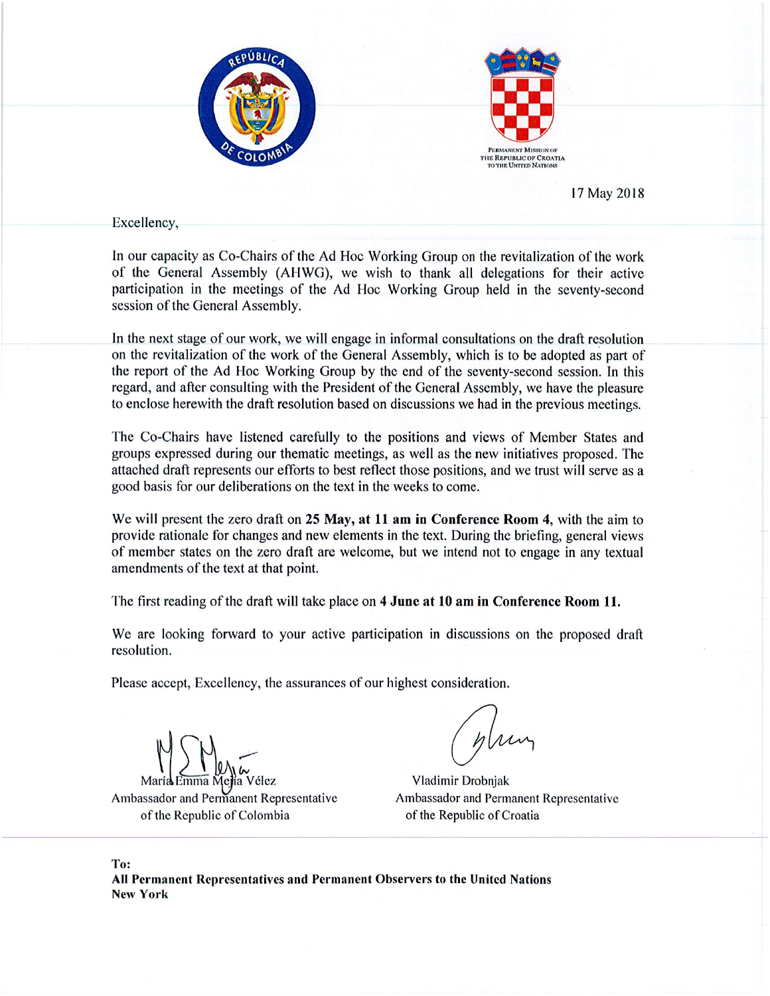



17 May 2018

Excellency,

In our capacity as Co-Chairs of the Ad Hoc Working Group on the revitalization of the work of the General Assembly (AHWG), we wish to thank all delegations for their active participation in the meetings of the Ad Hoc Working Group held in the seventy-second session of the General Assembly.

In the next stage of our work, we will engage in informal consultations on the draft resolution on the revitalization of the work of the General Assembly, which is to be adopted as part of the report of the Ad Hoc Working Group by the end of the seventy-second session. In this regard, and after consulting with the President of the General Assembly, we have the pleasure to enclose herewith the draft resolution based on discussions we had in the previous meetings.

The Co-Chairs have listened carefully to the positions and views of Member States and groups expressed during our thematic meetings, as well as the new initiatives proposed. The attached draft represents our efforts to best reflect those positions, and we trust will serve as a good basis for our deliberations on the text in the weeks to come.

We will present the zero draft on 25 May, at 11 am in Conference Room 4, with the aim to provide rationale for changes and new elements in the text. During the briefing, general views of member states on the zero draft are welcome, but we intend not to engage in any textual amendments of the text at that point.

The first reading of the draft will take place on 4 June at 10 am in Conference Room 11.

We are looking forward to your active participation in discussions on the proposed draft resolution.

Please accept, Excellency, the assurances of our highest consideration.

Ambassador and Permanent Representative of the Republic of Colombia

Vladimir Drobnjak Ambassador and Permanent Representative of the Republic of Croatia

To: All Permanent Representatives and Permanent Observers to the United Nations **New York**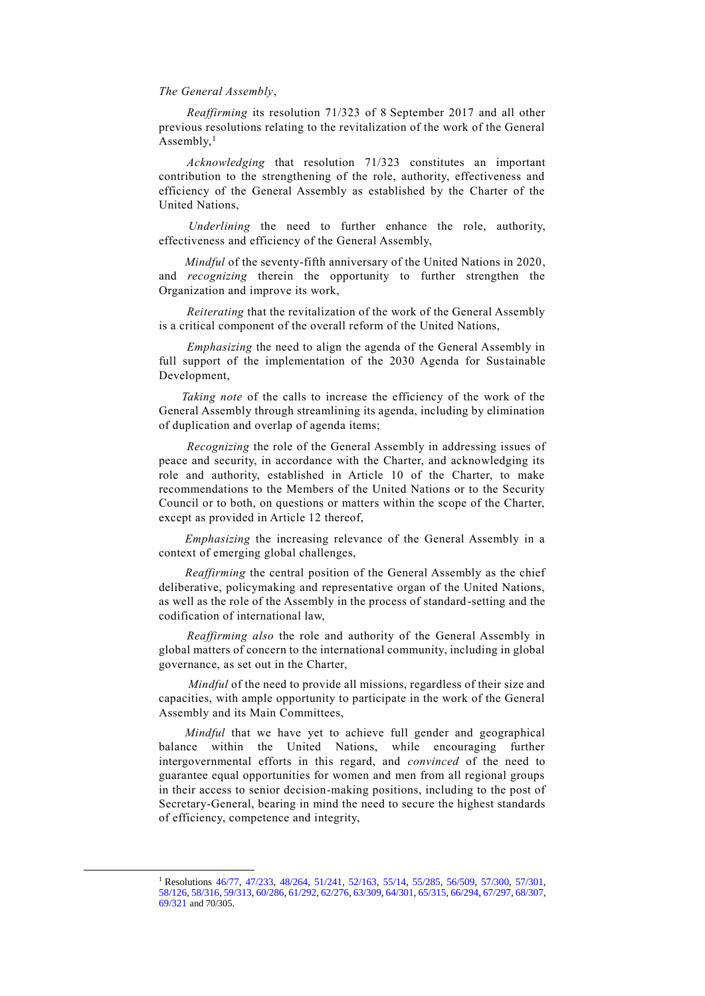#### *The General Assembly*,

*Reaffirming* its resolution 71/323 of 8 September 2017 and all other previous resolutions relating to the revitalization of the work of the General Assembly, $<sup>1</sup>$ </sup>

*Acknowledging* that resolution 71/323 constitutes an important contribution to the strengthening of the role, authority, effectiveness and efficiency of the General Assembly as established by the Charter of the United Nations,

 *Underlining* the need to further enhance the role, authority, effectiveness and efficiency of the General Assembly,

 *Mindful* of the seventy-fifth anniversary of the United Nations in 2020, and *recognizing* therein the opportunity to further strengthen the Organization and improve its work,

*Reiterating* that the revitalization of the work of the General Assembly is a critical component of the overall reform of the United Nations,

*Emphasizing* the need to align the agenda of the General Assembly in full support of the implementation of the 2030 Agenda for Sustainable Development,

 *Taking note* of the calls to increase the efficiency of the work of the General Assembly through streamlining its agenda, including by elimination of duplication and overlap of agenda items;

*Recognizing* the role of the General Assembly in addressing issues of peace and security, in accordance with the Charter, and acknowledging its role and authority, established in Article 10 of the Charter, to make recommendations to the Members of the United Nations or to the Security Council or to both, on questions or matters within the scope of the Charter, except as provided in Article 12 thereof,

 *Emphasizing* the increasing relevance of the General Assembly in a context of emerging global challenges,

 *Reaffirming* the central position of the General Assembly as the chief deliberative, policymaking and representative organ of the United Nations, as well as the role of the Assembly in the process of standard-setting and the codification of international law,

*Reaffirming also* the role and authority of the General Assembly in global matters of concern to the international community, including in global governance, as set out in the Charter,

 *Mindful* of the need to provide all missions, regardless of their size and capacities, with ample opportunity to participate in the work of the General Assembly and its Main Committees,

 *Mindful* that we have yet to achieve full gender and geographical balance within the United Nations, while encouraging further intergovernmental efforts in this regard, and *convinced* of the need to guarantee equal opportunities for women and men from all regional groups in their access to senior decision-making positions, including to the post of Secretary-General, bearing in mind the need to secure the highest standards of efficiency, competence and integrity,

<sup>&</sup>lt;sup>1</sup> Resolutions [46/77,](https://undocs.org/A/RES/46/77) [47/233,](https://undocs.org/A/RES/47/233) [48/264,](https://undocs.org/A/RES/48/264) [51/241,](https://undocs.org/A/RES/51/241) [52/163,](https://undocs.org/A/RES/52/163) [55/14,](https://undocs.org/A/RES/55/14) [55/285,](https://undocs.org/A/RES/55/285) [56/509,](https://undocs.org/A/RES/56/509) [57/300,](https://undocs.org/A/RES/57/300) [57/301,](https://undocs.org/A/RES/57/301) [58/126,](https://undocs.org/A/RES/58/126) [58/316,](https://undocs.org/A/RES/58/316) [59/313,](https://undocs.org/A/RES/59/313) [60/286,](https://undocs.org/A/RES/60/286) [61/292,](https://undocs.org/A/RES/61/292) [62/276,](https://undocs.org/A/RES/62/276) [63/309,](https://undocs.org/A/RES/63/309) [64/301,](https://undocs.org/A/RES/64/301) [65/315,](https://undocs.org/A/RES/65/315) [66/294,](https://undocs.org/A/RES/66/294) [67/297,](https://undocs.org/A/RES/67/297) [68/307,](https://undocs.org/A/RES/68/307) [69/321](https://undocs.org/A/RES/69/321) and 70/305.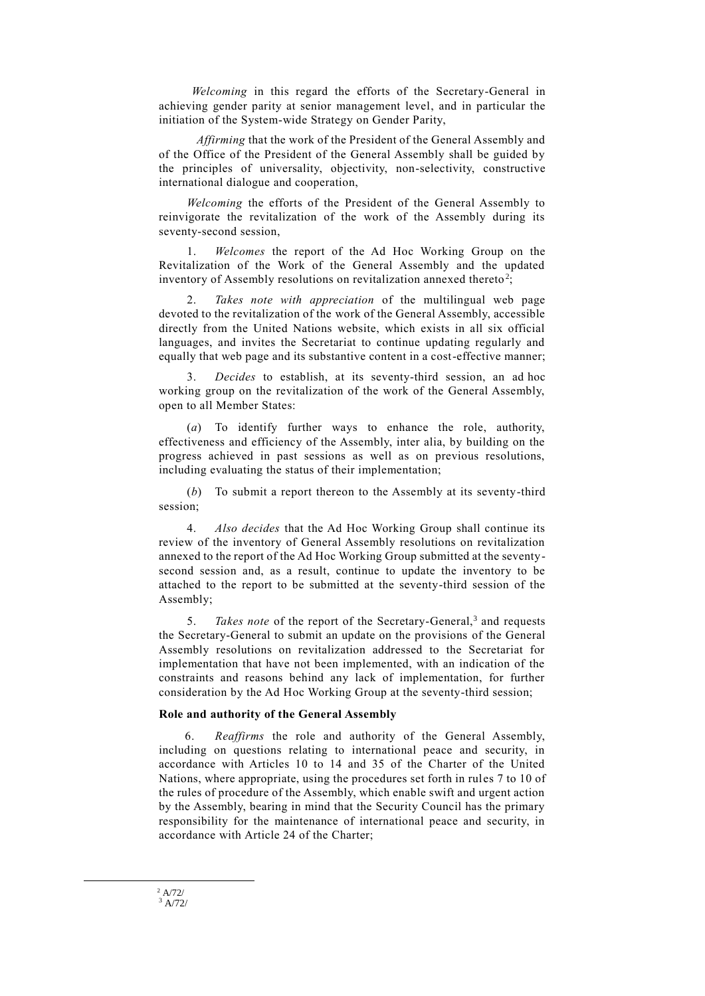*Welcoming* in this regard the efforts of the Secretary-General in achieving gender parity at senior management level, and in particular the initiation of the System-wide Strategy on Gender Parity,

 *Affirming* that the work of the President of the General Assembly and of the Office of the President of the General Assembly shall be guided by the principles of universality, objectivity, non-selectivity, constructive international dialogue and cooperation,

*Welcoming* the efforts of the President of the General Assembly to reinvigorate the revitalization of the work of the Assembly during its seventy-second session,

1. *Welcomes* the report of the Ad Hoc Working Group on the Revitalization of the Work of the General Assembly and the updated inventory of Assembly resolutions on revitalization annexed thereto<sup>2</sup>;

2. *Takes note with appreciation* of the multilingual web page devoted to the revitalization of the work of the General Assembly, accessible directly from the United Nations website, which exists in all six official languages, and invites the Secretariat to continue updating regularly and equally that web page and its substantive content in a cost-effective manner;

3. *Decides* to establish, at its seventy-third session, an ad hoc working group on the revitalization of the work of the General Assembly, open to all Member States:

(*a*) To identify further ways to enhance the role, authority, effectiveness and efficiency of the Assembly, inter alia, by building on the progress achieved in past sessions as well as on previous resolutions, including evaluating the status of their implementation;

(*b*) To submit a report thereon to the Assembly at its seventy-third session;

4. *Also decides* that the Ad Hoc Working Group shall continue its review of the inventory of General Assembly resolutions on revitalization annexed to the report of the Ad Hoc Working Group submitted at the seventysecond session and, as a result, continue to update the inventory to be attached to the report to be submitted at the seventy-third session of the Assembly;

5. *Takes note* of the report of the Secretary-General,<sup>3</sup> and requests the Secretary-General to submit an update on the provisions of the General Assembly resolutions on revitalization addressed to the Secretariat for implementation that have not been implemented, with an indication of the constraints and reasons behind any lack of implementation, for further consideration by the Ad Hoc Working Group at the seventy-third session;

#### **Role and authority of the General Assembly**

6. *Reaffirms* the role and authority of the General Assembly, including on questions relating to international peace and security, in accordance with Articles 10 to 14 and 35 of the Charter of the United Nations, where appropriate, using the procedures set forth in rules 7 to 10 of the rules of procedure of the Assembly, which enable swift and urgent action by the Assembly, bearing in mind that the Security Council has the primary responsibility for the maintenance of international peace and security, in accordance with Article 24 of the Charter;

1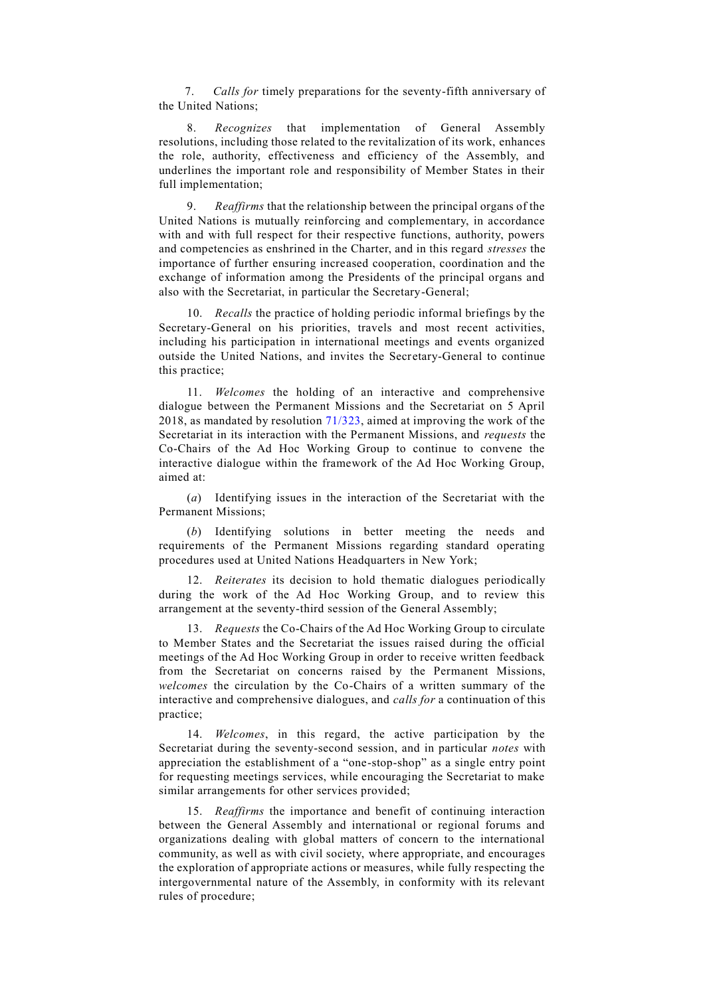7. *Calls for* timely preparations for the seventy-fifth anniversary of the United Nations;

8. *Recognizes* that implementation of General Assembly resolutions, including those related to the revitalization of its work, enhances the role, authority, effectiveness and efficiency of the Assembly, and underlines the important role and responsibility of Member States in their full implementation;

9. *Reaffirms* that the relationship between the principal organs of the United Nations is mutually reinforcing and complementary, in accordance with and with full respect for their respective functions, authority, powers and competencies as enshrined in the Charter, and in this regard *stresses* the importance of further ensuring increased cooperation, coordination and the exchange of information among the Presidents of the principal organs and also with the Secretariat, in particular the Secretary-General;

10. *Recalls* the practice of holding periodic informal briefings by the Secretary-General on his priorities, travels and most recent activities, including his participation in international meetings and events organized outside the United Nations, and invites the Secretary-General to continue this practice;

11. *Welcomes* the holding of an interactive and comprehensive dialogue between the Permanent Missions and the Secretariat on 5 April 2018, as mandated by resolution [71/323,](https://undocs.org/A/RES/70/305) aimed at improving the work of the Secretariat in its interaction with the Permanent Missions, and *requests* the Co-Chairs of the Ad Hoc Working Group to continue to convene the interactive dialogue within the framework of the Ad Hoc Working Group, aimed at:

(*a*) Identifying issues in the interaction of the Secretariat with the Permanent Missions;

(*b*) Identifying solutions in better meeting the needs and requirements of the Permanent Missions regarding standard operating procedures used at United Nations Headquarters in New York;

12. *Reiterates* its decision to hold thematic dialogues periodically during the work of the Ad Hoc Working Group, and to review this arrangement at the seventy-third session of the General Assembly;

13. *Requests* the Co-Chairs of the Ad Hoc Working Group to circulate to Member States and the Secretariat the issues raised during the official meetings of the Ad Hoc Working Group in order to receive written feedback from the Secretariat on concerns raised by the Permanent Missions, *welcomes* the circulation by the Co-Chairs of a written summary of the interactive and comprehensive dialogues, and *calls for* a continuation of this practice;

14. *Welcomes*, in this regard, the active participation by the Secretariat during the seventy-second session, and in particular *notes* with appreciation the establishment of a "one-stop-shop" as a single entry point for requesting meetings services, while encouraging the Secretariat to make similar arrangements for other services provided;

15. *Reaffirms* the importance and benefit of continuing interaction between the General Assembly and international or regional forums and organizations dealing with global matters of concern to the international community, as well as with civil society, where appropriate, and encourages the exploration of appropriate actions or measures, while fully respecting the intergovernmental nature of the Assembly, in conformity with its relevant rules of procedure;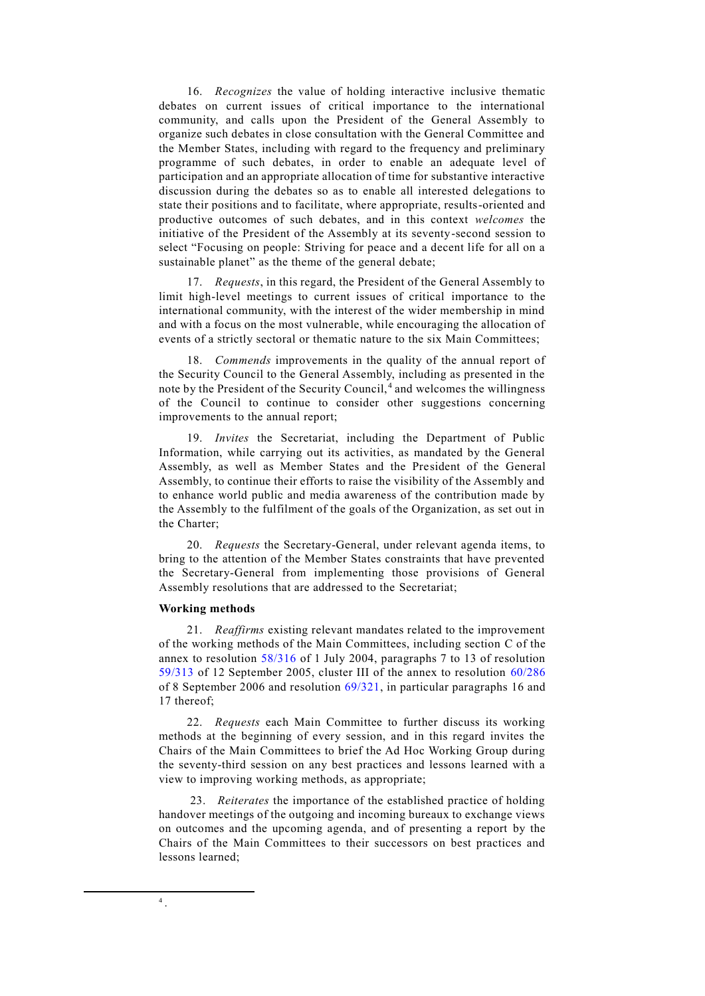16. *Recognizes* the value of holding interactive inclusive thematic debates on current issues of critical importance to the international community, and calls upon the President of the General Assembly to organize such debates in close consultation with the General Committee and the Member States, including with regard to the frequency and preliminary programme of such debates, in order to enable an adequate level of participation and an appropriate allocation of time for substantive interactive discussion during the debates so as to enable all interested delegations to state their positions and to facilitate, where appropriate, results-oriented and productive outcomes of such debates, and in this context *welcomes* the initiative of the President of the Assembly at its seventy-second session to select "Focusing on people: Striving for peace and a decent life for all on a sustainable planet" as the theme of the general debate;

17. *Requests*, in this regard, the President of the General Assembly to limit high-level meetings to current issues of critical importance to the international community, with the interest of the wider membership in mind and with a focus on the most vulnerable, while encouraging the allocation of events of a strictly sectoral or thematic nature to the six Main Committees;

18. *Commends* improvements in the quality of the annual report of the Security Council to the General Assembly, including as presented in the note by the President of the Security Council,<sup>4</sup> and welcomes the willingness of the Council to continue to consider other suggestions concerning improvements to the annual report;

19. *Invites* the Secretariat, including the Department of Public Information, while carrying out its activities, as mandated by the General Assembly, as well as Member States and the President of the General Assembly, to continue their efforts to raise the visibility of the Assembly and to enhance world public and media awareness of the contribution made by the Assembly to the fulfilment of the goals of the Organization, as set out in the Charter;

20. *Requests* the Secretary-General, under relevant agenda items, to bring to the attention of the Member States constraints that have prevented the Secretary-General from implementing those provisions of General Assembly resolutions that are addressed to the Secretariat;

#### **Working methods**

21. *Reaffirms* existing relevant mandates related to the improvement of the working methods of the Main Committees, including section C of the annex to resolution [58/316](https://undocs.org/A/RES/58/316) of 1 July 2004, paragraphs 7 to 13 of resolution [59/313](https://undocs.org/A/RES/59/313) of 12 September 2005, cluster III of the annex to resolution [60/286](https://undocs.org/A/RES/60/286) of 8 September 2006 and resolution [69/321,](https://undocs.org/A/RES/69/321) in particular paragraphs 16 and 17 thereof;

22. *Requests* each Main Committee to further discuss its working methods at the beginning of every session, and in this regard invites the Chairs of the Main Committees to brief the Ad Hoc Working Group during the seventy-third session on any best practices and lessons learned with a view to improving working methods, as appropriate;

23. *Reiterates* the importance of the established practice of holding handover meetings of the outgoing and incoming bureaux to exchange views on outcomes and the upcoming agenda, and of presenting a report by the Chairs of the Main Committees to their successors on best practices and lessons learned;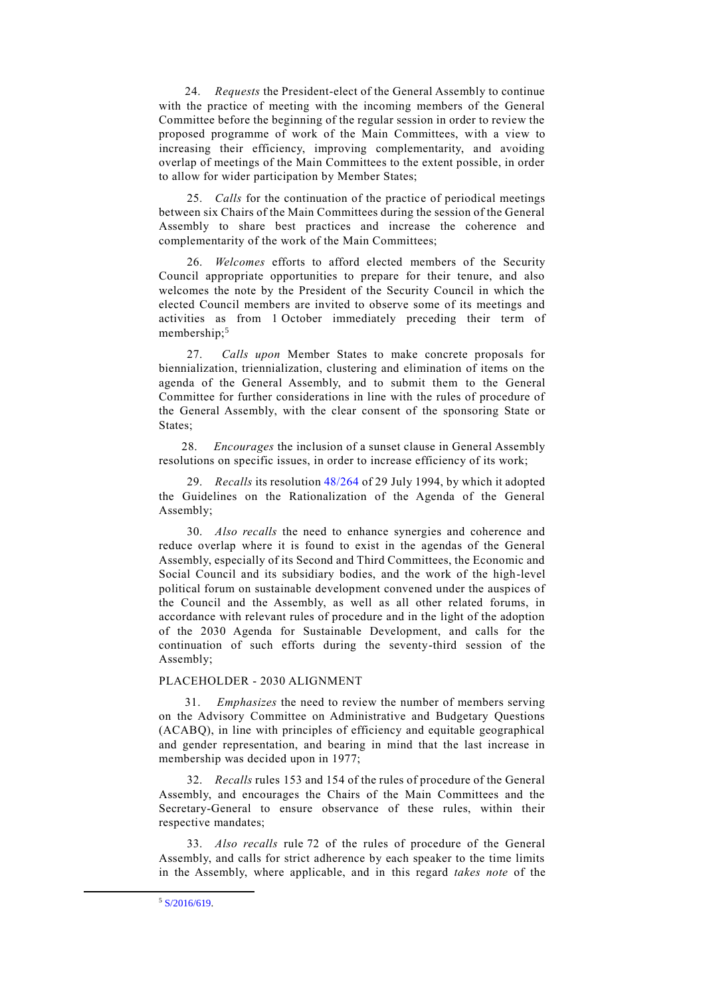24. *Requests* the President-elect of the General Assembly to continue with the practice of meeting with the incoming members of the General Committee before the beginning of the regular session in order to review the proposed programme of work of the Main Committees, with a view to increasing their efficiency, improving complementarity, and avoiding overlap of meetings of the Main Committees to the extent possible, in order to allow for wider participation by Member States;

25. *Calls* for the continuation of the practice of periodical meetings between six Chairs of the Main Committees during the session of the General Assembly to share best practices and increase the coherence and complementarity of the work of the Main Committees;

26. *Welcomes* efforts to afford elected members of the Security Council appropriate opportunities to prepare for their tenure, and also welcomes the note by the President of the Security Council in which the elected Council members are invited to observe some of its meetings and activities as from 1 October immediately preceding their term of membership;<sup>5</sup>

27. *Calls upon* Member States to make concrete proposals for biennialization, triennialization, clustering and elimination of items on the agenda of the General Assembly, and to submit them to the General Committee for further considerations in line with the rules of procedure of the General Assembly, with the clear consent of the sponsoring State or States:

28. *Encourages* the inclusion of a sunset clause in General Assembly resolutions on specific issues, in order to increase efficiency of its work;

29. *Recalls* its resolution [48/264](https://undocs.org/A/RES/48/264) of 29 July 1994, by which it adopted the Guidelines on the Rationalization of the Agenda of the General Assembly;

30. *Also recalls* the need to enhance synergies and coherence and reduce overlap where it is found to exist in the agendas of the General Assembly, especially of its Second and Third Committees, the Economic and Social Council and its subsidiary bodies, and the work of the high-level political forum on sustainable development convened under the auspices of the Council and the Assembly, as well as all other related forums, in accordance with relevant rules of procedure and in the light of the adoption of the 2030 Agenda for Sustainable Development, and calls for the continuation of such efforts during the seventy-third session of the Assembly;

## PLACEHOLDER - 2030 ALIGNMENT

*Emphasizes* the need to review the number of members serving on the Advisory Committee on Administrative and Budgetary Questions (ACABQ), in line with principles of efficiency and equitable geographical and gender representation, and bearing in mind that the last increase in membership was decided upon in 1977;

32. *Recalls* rules 153 and 154 of the rules of procedure of the General Assembly, and encourages the Chairs of the Main Committees and the Secretary-General to ensure observance of these rules, within their respective mandates;

33. *Also recalls* rule 72 of the rules of procedure of the General Assembly, and calls for strict adherence by each speaker to the time limits in the Assembly, where applicable, and in this regard *takes note* of the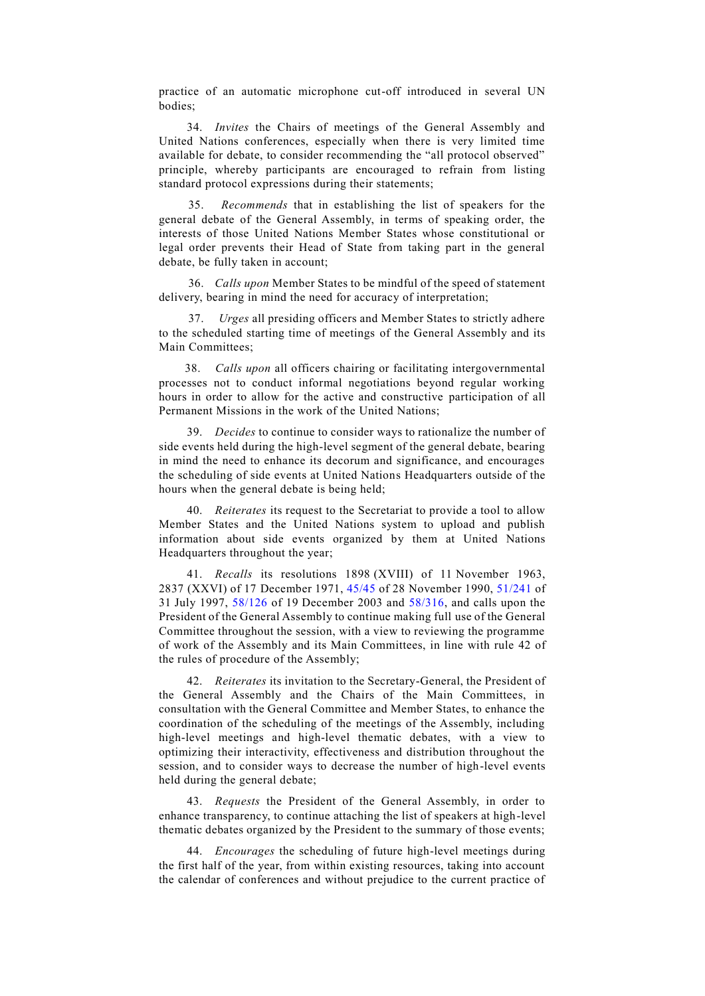practice of an automatic microphone cut-off introduced in several UN bodies;

34. *Invites* the Chairs of meetings of the General Assembly and United Nations conferences, especially when there is very limited time available for debate, to consider recommending the "all protocol observed" principle, whereby participants are encouraged to refrain from listing standard protocol expressions during their statements;

35. *Recommends* that in establishing the list of speakers for the general debate of the General Assembly, in terms of speaking order, the interests of those United Nations Member States whose constitutional or legal order prevents their Head of State from taking part in the general debate, be fully taken in account;

36. *Calls upon* Member States to be mindful of the speed of statement delivery, bearing in mind the need for accuracy of interpretation;

37. *Urges* all presiding officers and Member States to strictly adhere to the scheduled starting time of meetings of the General Assembly and its Main Committees;

38. *Calls upon* all officers chairing or facilitating intergovernmental processes not to conduct informal negotiations beyond regular working hours in order to allow for the active and constructive participation of all Permanent Missions in the work of the United Nations;

39. *Decides* to continue to consider ways to rationalize the number of side events held during the high-level segment of the general debate, bearing in mind the need to enhance its decorum and significance, and encourages the scheduling of side events at United Nations Headquarters outside of the hours when the general debate is being held;

40. *Reiterates* its request to the Secretariat to provide a tool to allow Member States and the United Nations system to upload and publish information about side events organized by them at United Nations Headquarters throughout the year;

41. *Recalls* its resolutions 1898 (XVIII) of 11 November 1963, 2837 (XXVI) of 17 December 1971, [45/45](https://undocs.org/A/RES/45/45) of 28 November 1990, [51/241](https://undocs.org/A/RES/51/241) of 31 July 1997, [58/126](https://undocs.org/A/RES/58/126) of 19 December 2003 and [58/316,](https://undocs.org/A/RES/58/316) and calls upon the President of the General Assembly to continue making full use of the General Committee throughout the session, with a view to reviewing the programme of work of the Assembly and its Main Committees, in line with rule 42 of the rules of procedure of the Assembly;

42. *Reiterates* its invitation to the Secretary-General, the President of the General Assembly and the Chairs of the Main Committees, in consultation with the General Committee and Member States, to enhance the coordination of the scheduling of the meetings of the Assembly, including high-level meetings and high-level thematic debates, with a view to optimizing their interactivity, effectiveness and distribution throughout the session, and to consider ways to decrease the number of high-level events held during the general debate;

43. *Requests* the President of the General Assembly, in order to enhance transparency, to continue attaching the list of speakers at high-level thematic debates organized by the President to the summary of those events;

44. *Encourages* the scheduling of future high-level meetings during the first half of the year, from within existing resources, taking into account the calendar of conferences and without prejudice to the current practice of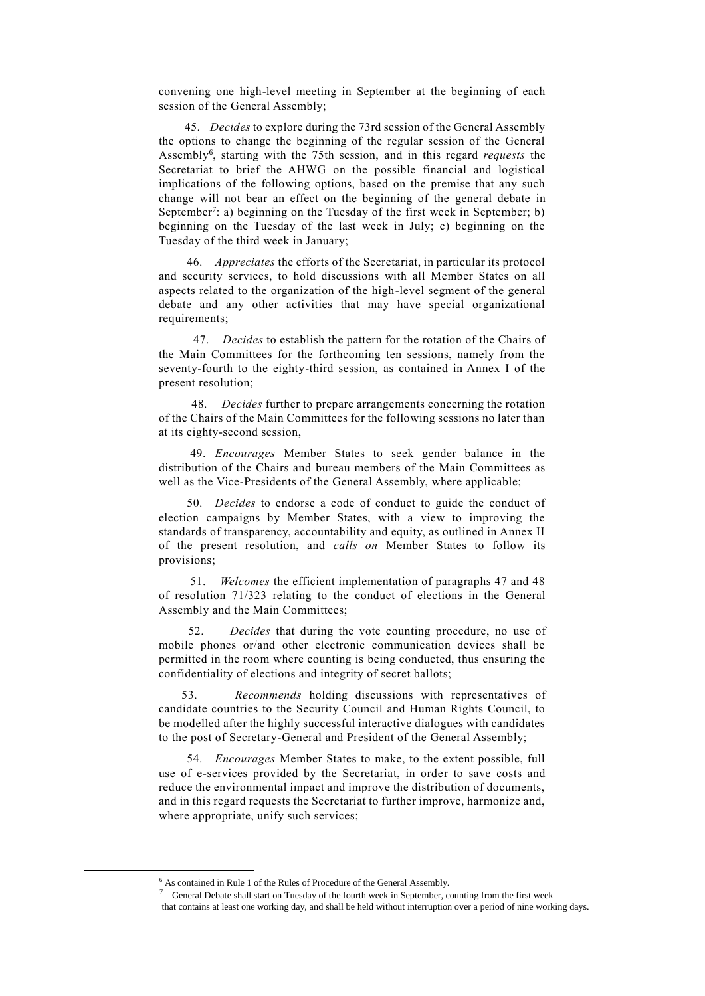convening one high-level meeting in September at the beginning of each session of the General Assembly;

45. *Decides* to explore during the 73rd session of the General Assembly the options to change the beginning of the regular session of the General Assembly<sup>6</sup> , starting with the 75th session, and in this regard *requests* the Secretariat to brief the AHWG on the possible financial and logistical implications of the following options, based on the premise that any such change will not bear an effect on the beginning of the general debate in September<sup>7</sup>: a) beginning on the Tuesday of the first week in September; b) beginning on the Tuesday of the last week in July; c) beginning on the Tuesday of the third week in January;

46. *Appreciates* the efforts of the Secretariat, in particular its protocol and security services, to hold discussions with all Member States on all aspects related to the organization of the high-level segment of the general debate and any other activities that may have special organizational requirements;

47. *Decides* to establish the pattern for the rotation of the Chairs of the Main Committees for the forthcoming ten sessions, namely from the seventy-fourth to the eighty-third session, as contained in Annex I of the present resolution;

 48. *Decides* further to prepare arrangements concerning the rotation of the Chairs of the Main Committees for the following sessions no later than at its eighty-second session,

49. *Encourages* Member States to seek gender balance in the distribution of the Chairs and bureau members of the Main Committees as well as the Vice-Presidents of the General Assembly, where applicable;

50. *Decides* to endorse a code of conduct to guide the conduct of election campaigns by Member States, with a view to improving the standards of transparency, accountability and equity, as outlined in Annex II of the present resolution, and *calls on* Member States to follow its provisions;

51. *Welcomes* the efficient implementation of paragraphs 47 and 48 of resolution 71/323 relating to the conduct of elections in the General Assembly and the Main Committees;

 52. *Decides* that during the vote counting procedure, no use of mobile phones or/and other electronic communication devices shall be permitted in the room where counting is being conducted, thus ensuring the confidentiality of elections and integrity of secret ballots;

53. *Recommends* holding discussions with representatives of candidate countries to the Security Council and Human Rights Council, to be modelled after the highly successful interactive dialogues with candidates to the post of Secretary-General and President of the General Assembly;

54. *Encourages* Member States to make, to the extent possible, full use of e-services provided by the Secretariat, in order to save costs and reduce the environmental impact and improve the distribution of documents, and in this regard requests the Secretariat to further improve, harmonize and, where appropriate, unify such services;

<sup>6</sup> As contained in Rule 1 of the Rules of Procedure of the General Assembly.

<sup>&</sup>lt;sup>7</sup> General Debate shall start on Tuesday of the fourth week in September, counting from the first week that contains at least one working day, and shall be held without interruption over a period of nine working days.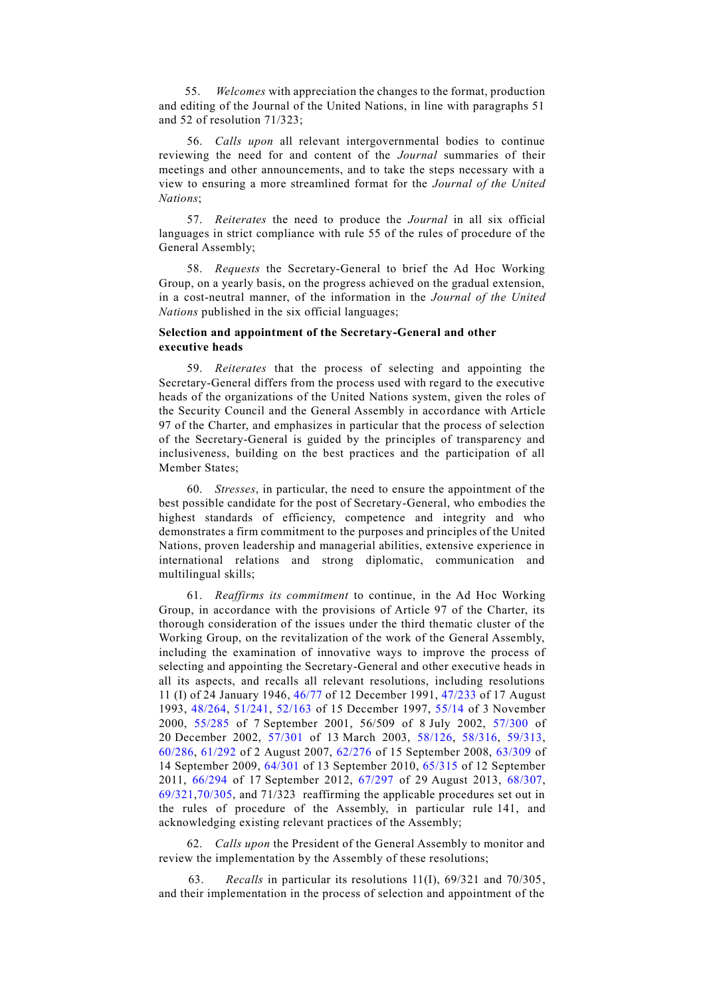55. *Welcomes* with appreciation the changes to the format, production and editing of the Journal of the United Nations, in line with paragraphs 51 and 52 of resolution 71/323;

56. *Calls upon* all relevant intergovernmental bodies to continue reviewing the need for and content of the *Journal* summaries of their meetings and other announcements, and to take the steps necessary with a view to ensuring a more streamlined format for the *Journal of the United Nations*;

57. *Reiterates* the need to produce the *Journal* in all six official languages in strict compliance with rule 55 of the rules of procedure of the General Assembly;

58. *Requests* the Secretary-General to brief the Ad Hoc Working Group, on a yearly basis, on the progress achieved on the gradual extension, in a cost-neutral manner, of the information in the *Journal of the United Nations* published in the six official languages;

# **Selection and appointment of the Secretary-General and other executive heads**

59. *Reiterates* that the process of selecting and appointing the Secretary-General differs from the process used with regard to the executive heads of the organizations of the United Nations system, given the roles of the Security Council and the General Assembly in accordance with Article 97 of the Charter, and emphasizes in particular that the process of selection of the Secretary-General is guided by the principles of transparency and inclusiveness, building on the best practices and the participation of all Member States;

60. *Stresses*, in particular, the need to ensure the appointment of the best possible candidate for the post of Secretary-General, who embodies the highest standards of efficiency, competence and integrity and who demonstrates a firm commitment to the purposes and principles of the United Nations, proven leadership and managerial abilities, extensive experience in international relations and strong diplomatic, communication and multilingual skills;

61. *Reaffirms its commitment* to continue, in the Ad Hoc Working Group, in accordance with the provisions of Article 97 of the Charter, its thorough consideration of the issues under the third thematic cluster of the Working Group, on the revitalization of the work of the General Assembly, including the examination of innovative ways to improve the process of selecting and appointing the Secretary-General and other executive heads in all its aspects, and recalls all relevant resolutions, including resolutions 11 (I) of 24 January 1946, [46/77](https://undocs.org/A/RES/46/77) of 12 December 1991, [47/233](https://undocs.org/A/RES/47/233) of 17 August 1993, [48/264,](https://undocs.org/A/RES/48/264) [51/241,](https://undocs.org/A/RES/51/241) [52/163](https://undocs.org/A/RES/52/163) of 15 December 1997, [55/14](https://undocs.org/A/RES/55/14) of 3 November 2000, [55/285](https://undocs.org/A/RES/55/285) of 7 September 2001, 56/509 of 8 July 2002, [57/300](https://undocs.org/A/RES/57/300) of 20 December 2002, [57/301](https://undocs.org/A/RES/57/301) of 13 March 2003, [58/126,](https://undocs.org/A/RES/58/126) [58/316,](https://undocs.org/A/RES/58/316) [59/313,](https://undocs.org/A/RES/59/313) [60/286,](https://undocs.org/A/RES/60/286) [61/292](https://undocs.org/A/RES/61/292) of 2 August 2007, [62/276](https://undocs.org/A/RES/62/276) of 15 September 2008, [63/309](https://undocs.org/A/RES/63/309) of 14 September 2009, [64/301](https://undocs.org/A/RES/64/301) of 13 September 2010, [65/315](https://undocs.org/A/RES/65/315) of 12 September 2011, [66/294](https://undocs.org/A/RES/66/294) of 17 September 2012, [67/297](https://undocs.org/A/RES/67/297) of 29 August 2013, [68/307,](https://undocs.org/A/RES/68/307) [69/321,](https://undocs.org/A/RES/69/321)[70/305,](https://undocs.org/A/RES/70/305) and 71/323 reaffirming the applicable procedures set out in the rules of procedure of the Assembly, in particular rule 141, and acknowledging existing relevant practices of the Assembly;

62. *Calls upon* the President of the General Assembly to monitor and review the implementation by the Assembly of these resolutions;

63. *Recalls* in particular its resolutions 11(I), 69/321 and 70/305, and their implementation in the process of selection and appointment of the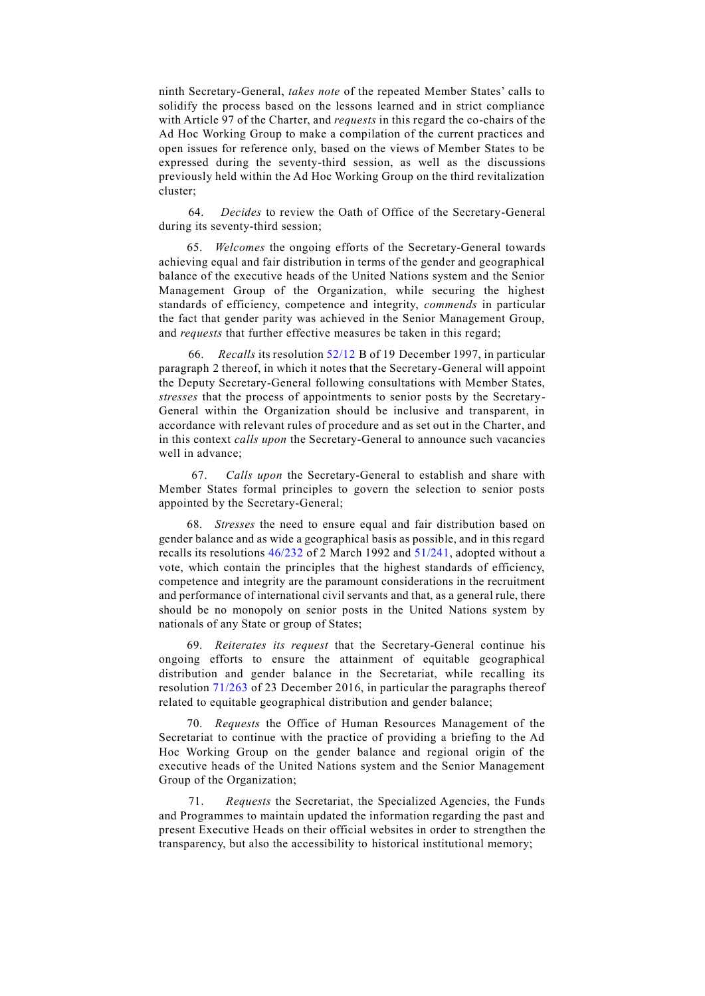ninth Secretary-General, *takes note* of the repeated Member States' calls to solidify the process based on the lessons learned and in strict compliance with Article 97 of the Charter, and *requests* in this regard the co-chairs of the Ad Hoc Working Group to make a compilation of the current practices and open issues for reference only, based on the views of Member States to be expressed during the seventy-third session, as well as the discussions previously held within the Ad Hoc Working Group on the third revitalization cluster;

64. *Decides* to review the Oath of Office of the Secretary-General during its seventy-third session;

65. *Welcomes* the ongoing efforts of the Secretary-General towards achieving equal and fair distribution in terms of the gender and geographical balance of the executive heads of the United Nations system and the Senior Management Group of the Organization, while securing the highest standards of efficiency, competence and integrity, *commends* in particular the fact that gender parity was achieved in the Senior Management Group, and *requests* that further effective measures be taken in this regard;

 66. *Recalls* its resolution [52/12](https://undocs.org/A/RES/52/12) B of 19 December 1997, in particular paragraph 2 thereof, in which it notes that the Secretary-General will appoint the Deputy Secretary-General following consultations with Member States, *stresses* that the process of appointments to senior posts by the Secretary-General within the Organization should be inclusive and transparent, in accordance with relevant rules of procedure and as set out in the Charter, and in this context *calls upon* the Secretary-General to announce such vacancies well in advance;

 67. *Calls upon* the Secretary-General to establish and share with Member States formal principles to govern the selection to senior posts appointed by the Secretary-General;

68. *Stresses* the need to ensure equal and fair distribution based on gender balance and as wide a geographical basis as possible, and in this regard recalls its resolutions [46/232](https://undocs.org/A/RES/46/232) of 2 March 1992 and [51/241,](https://undocs.org/A/RES/51/241) adopted without a vote, which contain the principles that the highest standards of efficiency, competence and integrity are the paramount considerations in the recruitment and performance of international civil servants and that, as a general rule, there should be no monopoly on senior posts in the United Nations system by nationals of any State or group of States;

69. *Reiterates its request* that the Secretary-General continue his ongoing efforts to ensure the attainment of equitable geographical distribution and gender balance in the Secretariat, while recalling its resolution [71/263](https://undocs.org/A/RES/71/263) of 23 December 2016, in particular the paragraphs thereof related to equitable geographical distribution and gender balance;

70. *Requests* the Office of Human Resources Management of the Secretariat to continue with the practice of providing a briefing to the Ad Hoc Working Group on the gender balance and regional origin of the executive heads of the United Nations system and the Senior Management Group of the Organization;

71. *Requests* the Secretariat, the Specialized Agencies, the Funds and Programmes to maintain updated the information regarding the past and present Executive Heads on their official websites in order to strengthen the transparency, but also the accessibility to historical institutional memory;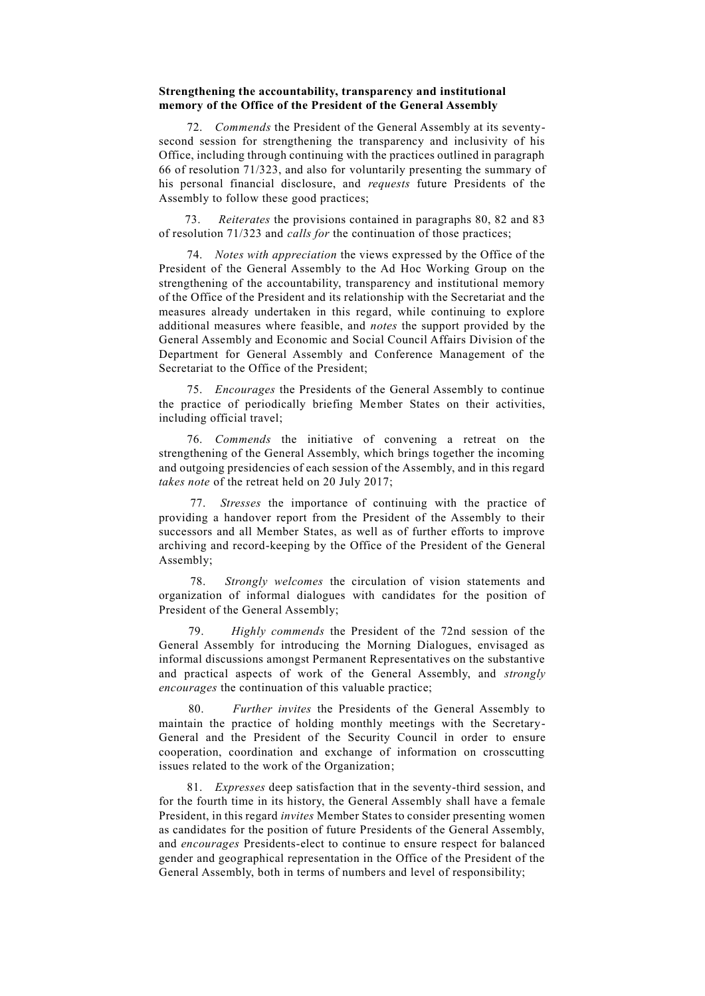### **Strengthening the accountability, transparency and institutional memory of the Office of the President of the General Assembly**

72. *Commends* the President of the General Assembly at its seventysecond session for strengthening the transparency and inclusivity of his Office, including through continuing with the practices outlined in paragraph 66 of resolution 71/323, and also for voluntarily presenting the summary of his personal financial disclosure, and *requests* future Presidents of the Assembly to follow these good practices;

 73. *Reiterates* the provisions contained in paragraphs 80, 82 and 83 of resolution 71/323 and *calls for* the continuation of those practices;

74. *Notes with appreciation* the views expressed by the Office of the President of the General Assembly to the Ad Hoc Working Group on the strengthening of the accountability, transparency and institutional memory of the Office of the President and its relationship with the Secretariat and the measures already undertaken in this regard, while continuing to explore additional measures where feasible, and *notes* the support provided by the General Assembly and Economic and Social Council Affairs Division of the Department for General Assembly and Conference Management of the Secretariat to the Office of the President;

75. *Encourages* the Presidents of the General Assembly to continue the practice of periodically briefing Member States on their activities, including official travel;

76. *Commends* the initiative of convening a retreat on the strengthening of the General Assembly, which brings together the incoming and outgoing presidencies of each session of the Assembly, and in this regard *takes note* of the retreat held on 20 July 2017;

77. *Stresses* the importance of continuing with the practice of providing a handover report from the President of the Assembly to their successors and all Member States, as well as of further efforts to improve archiving and record-keeping by the Office of the President of the General Assembly;

78. *Strongly welcomes* the circulation of vision statements and organization of informal dialogues with candidates for the position of President of the General Assembly;

Highly commends the President of the 72nd session of the General Assembly for introducing the Morning Dialogues, envisaged as informal discussions amongst Permanent Representatives on the substantive and practical aspects of work of the General Assembly, and *strongly encourages* the continuation of this valuable practice;

 80. *Further invites* the Presidents of the General Assembly to maintain the practice of holding monthly meetings with the Secretary-General and the President of the Security Council in order to ensure cooperation, coordination and exchange of information on crosscutting issues related to the work of the Organization;

81. *Expresses* deep satisfaction that in the seventy-third session, and for the fourth time in its history, the General Assembly shall have a female President, in this regard *invites* Member States to consider presenting women as candidates for the position of future Presidents of the General Assembly, and *encourages* Presidents-elect to continue to ensure respect for balanced gender and geographical representation in the Office of the President of the General Assembly, both in terms of numbers and level of responsibility;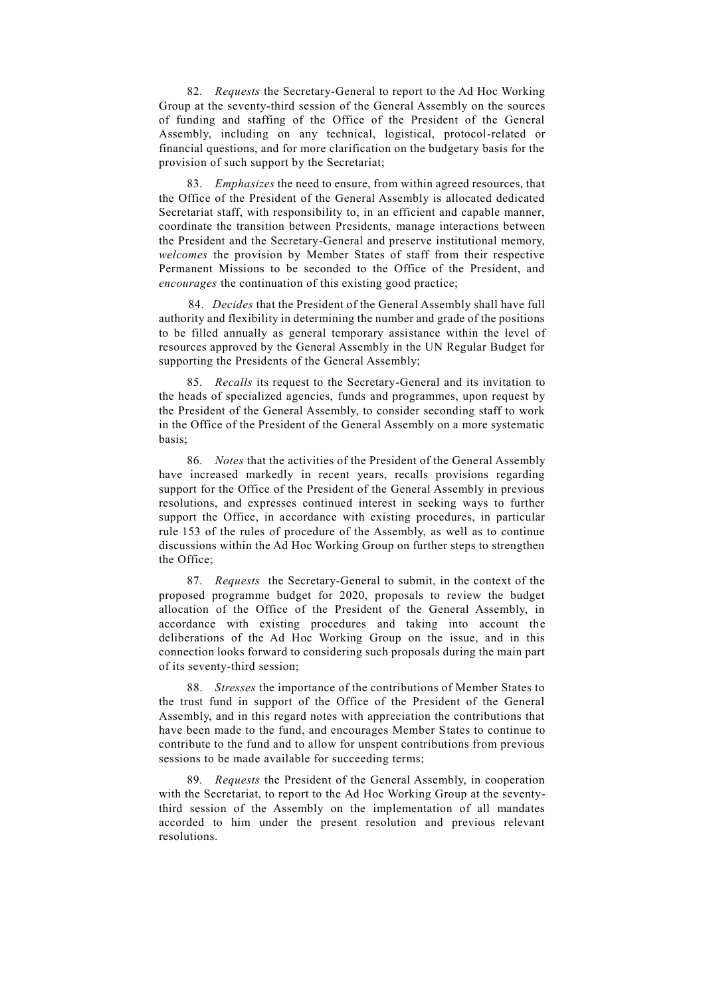82. *Requests* the Secretary-General to report to the Ad Hoc Working Group at the seventy-third session of the General Assembly on the sources of funding and staffing of the Office of the President of the General Assembly, including on any technical, logistical, protocol-related or financial questions, and for more clarification on the budgetary basis for the provision of such support by the Secretariat;

83. *Emphasizes* the need to ensure, from within agreed resources, that the Office of the President of the General Assembly is allocated dedicated Secretariat staff, with responsibility to, in an efficient and capable manner, coordinate the transition between Presidents, manage interactions between the President and the Secretary-General and preserve institutional memory, *welcomes* the provision by Member States of staff from their respective Permanent Missions to be seconded to the Office of the President, and *encourages* the continuation of this existing good practice;

84. *Decides* that the President of the General Assembly shall have full authority and flexibility in determining the number and grade of the positions to be filled annually as general temporary assistance within the level of resources approved by the General Assembly in the UN Regular Budget for supporting the Presidents of the General Assembly;

85. *Recalls* its request to the Secretary-General and its invitation to the heads of specialized agencies, funds and programmes, upon request by the President of the General Assembly, to consider seconding staff to work in the Office of the President of the General Assembly on a more systematic basis;

86. *Notes* that the activities of the President of the General Assembly have increased markedly in recent years, recalls provisions regarding support for the Office of the President of the General Assembly in previous resolutions, and expresses continued interest in seeking ways to further support the Office, in accordance with existing procedures, in particular rule 153 of the rules of procedure of the Assembly, as well as to continue discussions within the Ad Hoc Working Group on further steps to strengthen the Office;

87. *Requests* the Secretary-General to submit, in the context of the proposed programme budget for 2020, proposals to review the budget allocation of the Office of the President of the General Assembly, in accordance with existing procedures and taking into account the deliberations of the Ad Hoc Working Group on the issue, and in this connection looks forward to considering such proposals during the main part of its seventy-third session;

88. *Stresses* the importance of the contributions of Member States to the trust fund in support of the Office of the President of the General Assembly, and in this regard notes with appreciation the contributions that have been made to the fund, and encourages Member States to continue to contribute to the fund and to allow for unspent contributions from previous sessions to be made available for succeeding terms;

89. *Requests* the President of the General Assembly, in cooperation with the Secretariat, to report to the Ad Hoc Working Group at the seventythird session of the Assembly on the implementation of all mandates accorded to him under the present resolution and previous relevant resolutions.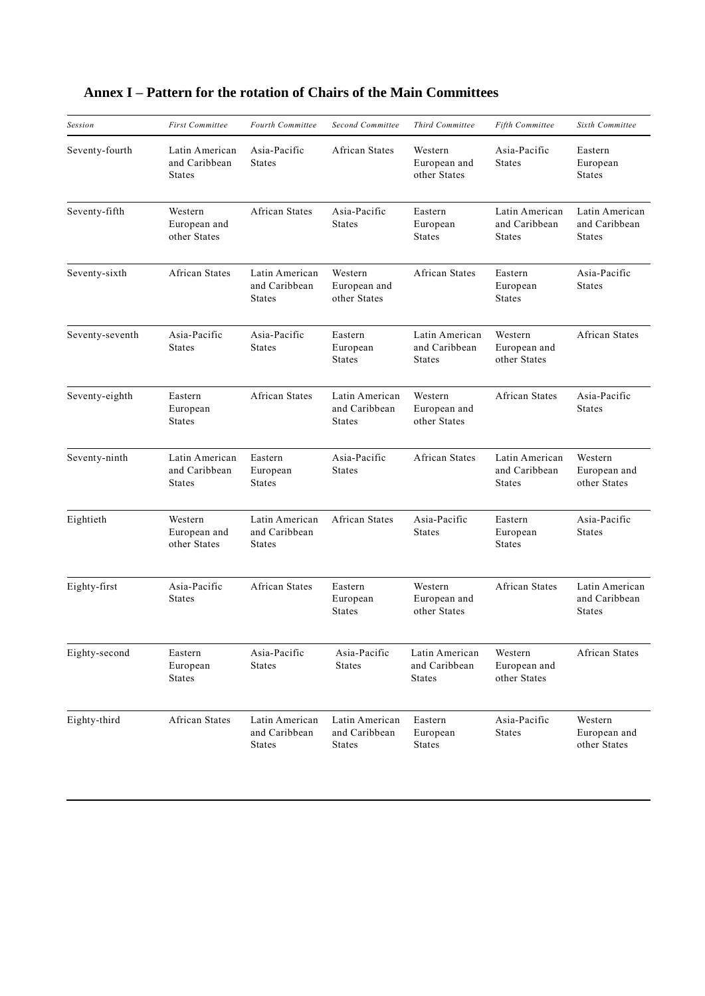| Session         | <b>First Committee</b>                           | <b>Fourth Committee</b>                          | <b>Second Committee</b>                          | Third Committee                                  | Fifth Committee                                  | Sixth Committee                                  |
|-----------------|--------------------------------------------------|--------------------------------------------------|--------------------------------------------------|--------------------------------------------------|--------------------------------------------------|--------------------------------------------------|
| Seventy-fourth  | Latin American<br>and Caribbean<br><b>States</b> | Asia-Pacific<br><b>States</b>                    | African States                                   | Western<br>European and<br>other States          | Asia-Pacific<br><b>States</b>                    | Eastern<br>European<br><b>States</b>             |
| Seventy-fifth   | Western<br>European and<br>other States          | <b>African States</b>                            | Asia-Pacific<br><b>States</b>                    | Eastern<br>European<br><b>States</b>             | Latin American<br>and Caribbean<br><b>States</b> | Latin American<br>and Caribbean<br><b>States</b> |
| Seventy-sixth   | <b>African States</b>                            | Latin American<br>and Caribbean<br><b>States</b> | Western<br>European and<br>other States          | <b>African States</b>                            | Eastern<br>European<br><b>States</b>             | Asia-Pacific<br><b>States</b>                    |
| Seventy-seventh | Asia-Pacific<br><b>States</b>                    | Asia-Pacific<br><b>States</b>                    | Eastern<br>European<br><b>States</b>             | Latin American<br>and Caribbean<br><b>States</b> | Western<br>European and<br>other States          | <b>African States</b>                            |
| Seventy-eighth  | Eastern<br>European<br><b>States</b>             | <b>African States</b>                            | Latin American<br>and Caribbean<br><b>States</b> | Western<br>European and<br>other States          | <b>African States</b>                            | Asia-Pacific<br>States                           |
| Seventy-ninth   | Latin American<br>and Caribbean<br>States        | Eastern<br>European<br><b>States</b>             | Asia-Pacific<br><b>States</b>                    | <b>African States</b>                            | Latin American<br>and Caribbean<br><b>States</b> | Western<br>European and<br>other States          |
| Eightieth       | Western<br>European and<br>other States          | Latin American<br>and Caribbean<br><b>States</b> | <b>African States</b>                            | Asia-Pacific<br><b>States</b>                    | Eastern<br>European<br><b>States</b>             | Asia-Pacific<br><b>States</b>                    |
| Eighty-first    | Asia-Pacific<br><b>States</b>                    | <b>African States</b>                            | Eastern<br>European<br><b>States</b>             | Western<br>European and<br>other States          | <b>African States</b>                            | Latin American<br>and Caribbean<br><b>States</b> |
| Eighty-second   | Eastern<br>European<br><b>States</b>             | Asia-Pacific<br><b>States</b>                    | Asia-Pacific<br><b>States</b>                    | Latin American<br>and Caribbean<br><b>States</b> | Western<br>European and<br>other States          | African States                                   |
| Eighty-third    | African States                                   | Latin American<br>and Caribbean<br><b>States</b> | Latin American<br>and Caribbean<br><b>States</b> | Eastern<br>European<br><b>States</b>             | Asia-Pacific<br><b>States</b>                    | Western<br>European and<br>other States          |

# **Annex I – Pattern for the rotation of Chairs of the Main Committees**